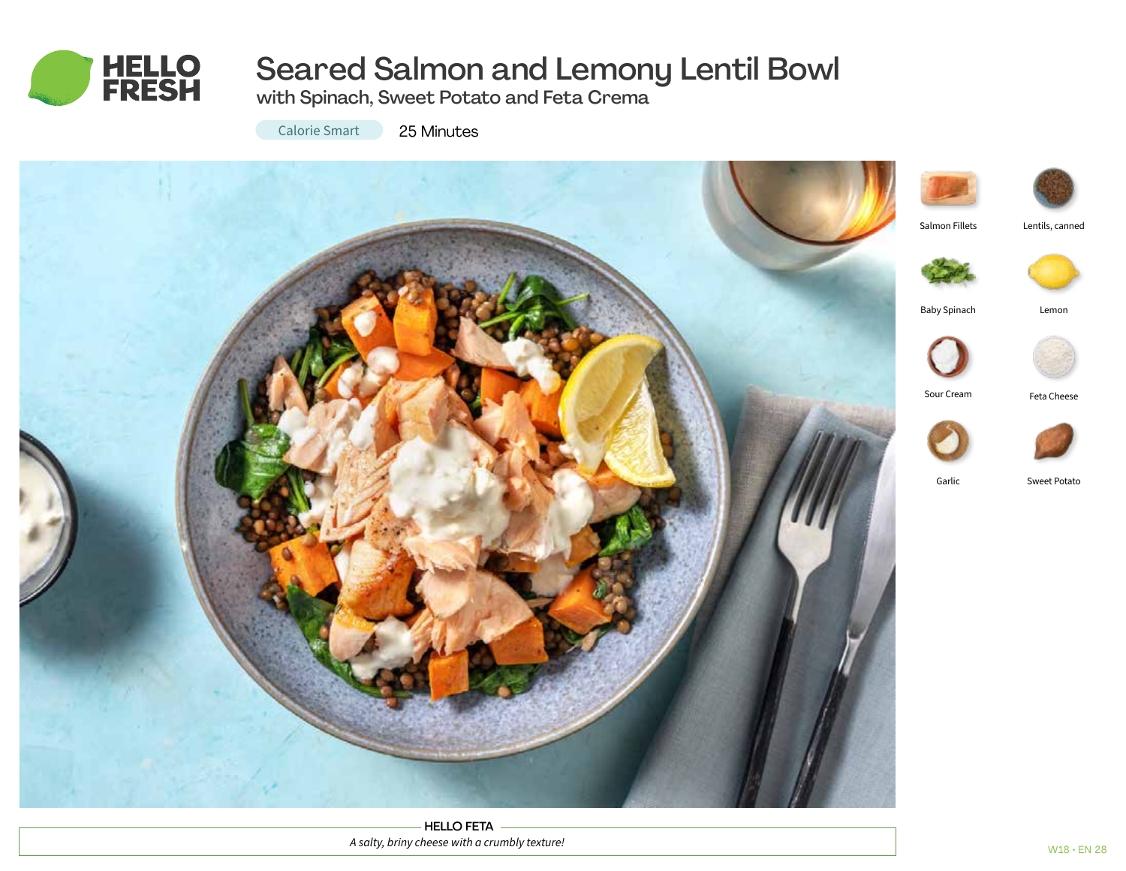

# Seared Salmon and Lemony Lentil Bowl

with Spinach, Sweet Potato and Feta Crema

Calorie Smart 25 Minutes



HELLO FETA *A salty, briny cheese with a crumbly texture!*





Lentils, canned